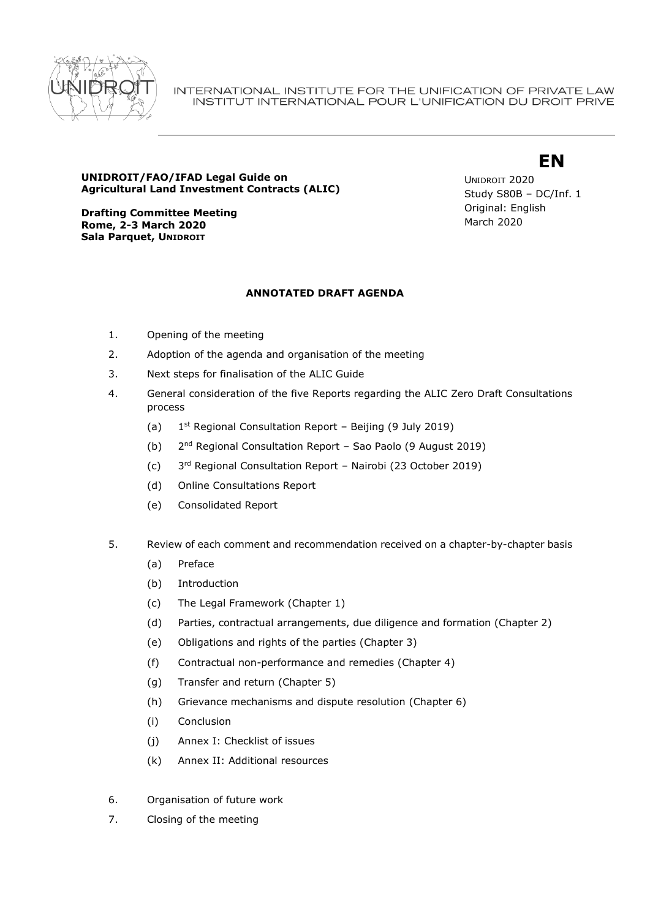

### **UNIDROIT/FAO/IFAD Legal Guide on Agricultural Land Investment Contracts (ALIC)**

**Drafting Committee Meeting Rome, 2-3 March 2020 Sala Parquet, UNIDROIT**

UNIDROIT 2020 Study S80B – DC/Inf. 1 Original: English March 2020

**EN**

## **ANNOTATED DRAFT AGENDA**

- 1. Opening of the meeting
- 2. Adoption of the agenda and organisation of the meeting
- 3. Next steps for finalisation of the ALIC Guide
- 4. General consideration of the five Reports regarding the ALIC Zero Draft Consultations process
	- $(a)$  $1<sup>st</sup>$  Regional Consultation Report – Beijing (9 July 2019)
	- $(b)$ 2<sup>nd</sup> Regional Consultation Report - Sao Paolo (9 August 2019)
	- $(c)$ 3<sup>rd</sup> Regional Consultation Report - Nairobi (23 October 2019)
	- (d) Online Consultations Report
	- (e) Consolidated Report
- 5. Review of each comment and recommendation received on a chapter-by-chapter basis
	- (a) Preface
	- (b) Introduction
	- (c) The Legal Framework (Chapter 1)
	- (d) Parties, contractual arrangements, due diligence and formation (Chapter 2)
	- (e) Obligations and rights of the parties (Chapter 3)
	- (f) Contractual non-performance and remedies (Chapter 4)
	- (g) Transfer and return (Chapter 5)
	- (h) Grievance mechanisms and dispute resolution (Chapter 6)
	- (i) Conclusion
	- (j) Annex I: Checklist of issues
	- (k) Annex II: Additional resources
- 6. Organisation of future work
- 7. Closing of the meeting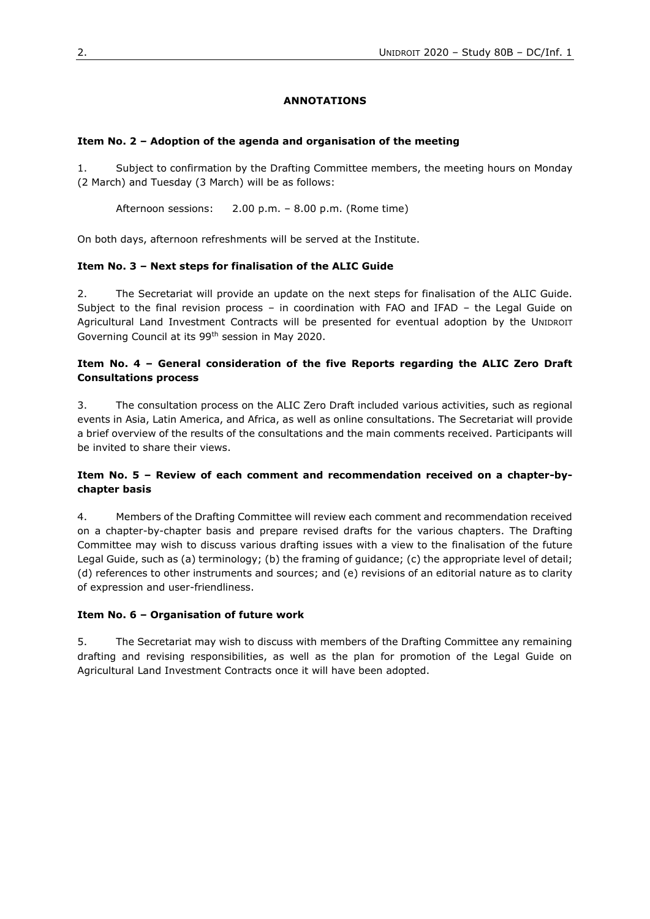### **ANNOTATIONS**

### **Item No. 2 – Adoption of the agenda and organisation of the meeting**

1. Subject to confirmation by the Drafting Committee members, the meeting hours on Monday (2 March) and Tuesday (3 March) will be as follows:

Afternoon sessions: 2.00 p.m. – 8.00 p.m. (Rome time)

On both days, afternoon refreshments will be served at the Institute.

## **Item No. 3 – Next steps for finalisation of the ALIC Guide**

2. The Secretariat will provide an update on the next steps for finalisation of the ALIC Guide. Subject to the final revision process – in coordination with FAO and IFAD – the Legal Guide on Agricultural Land Investment Contracts will be presented for eventual adoption by the UNIDROIT Governing Council at its 99th session in May 2020.

## **Item No. 4 – General consideration of the five Reports regarding the ALIC Zero Draft Consultations process**

3. The consultation process on the ALIC Zero Draft included various activities, such as regional events in Asia, Latin America, and Africa, as well as online consultations. The Secretariat will provide a brief overview of the results of the consultations and the main comments received. Participants will be invited to share their views.

## **Item No. 5 – Review of each comment and recommendation received on a chapter-bychapter basis**

4. Members of the Drafting Committee will review each comment and recommendation received on a chapter-by-chapter basis and prepare revised drafts for the various chapters. The Drafting Committee may wish to discuss various drafting issues with a view to the finalisation of the future Legal Guide, such as (a) terminology; (b) the framing of guidance; (c) the appropriate level of detail; (d) references to other instruments and sources; and (e) revisions of an editorial nature as to clarity of expression and user-friendliness.

#### **Item No. 6 – Organisation of future work**

5. The Secretariat may wish to discuss with members of the Drafting Committee any remaining drafting and revising responsibilities, as well as the plan for promotion of the Legal Guide on Agricultural Land Investment Contracts once it will have been adopted.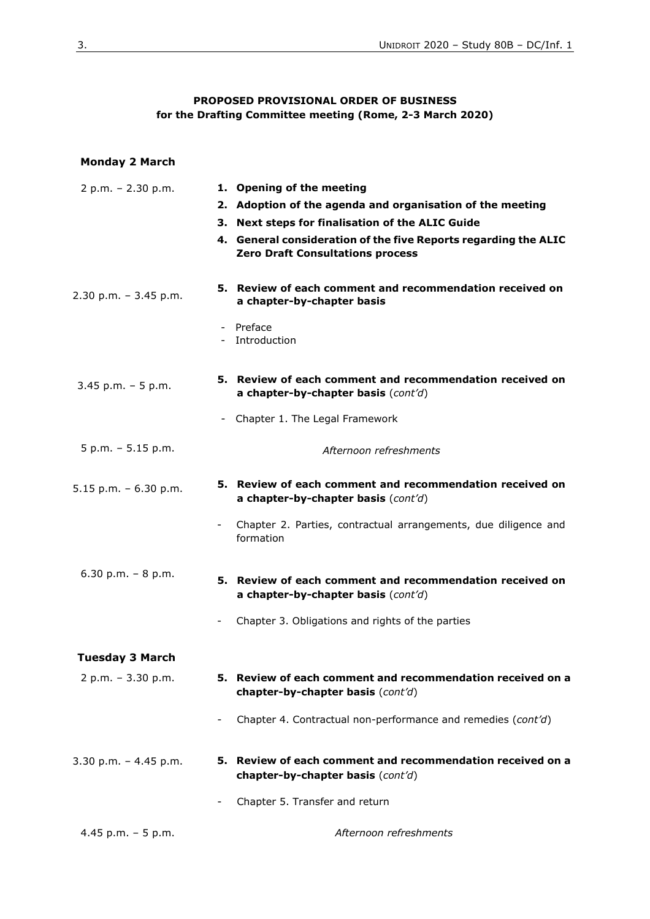# **PROPOSED PROVISIONAL ORDER OF BUSINESS for the Drafting Committee meeting (Rome, 2-3 March 2020)**

## **Monday 2 March**

| $2 p.m. - 2.30 p.m.$    |                          | 1. Opening of the meeting<br>2. Adoption of the agenda and organisation of the meeting<br>3. Next steps for finalisation of the ALIC Guide<br>4. General consideration of the five Reports regarding the ALIC<br><b>Zero Draft Consultations process</b> |
|-------------------------|--------------------------|----------------------------------------------------------------------------------------------------------------------------------------------------------------------------------------------------------------------------------------------------------|
| 2.30 p.m. $-$ 3.45 p.m. |                          | 5. Review of each comment and recommendation received on<br>a chapter-by-chapter basis                                                                                                                                                                   |
|                         |                          | - Preface<br>- Introduction                                                                                                                                                                                                                              |
| $3.45$ p.m. $-5$ p.m.   |                          | 5. Review of each comment and recommendation received on<br>a chapter-by-chapter basis (cont'd)                                                                                                                                                          |
|                         | $\overline{\phantom{a}}$ | Chapter 1. The Legal Framework                                                                                                                                                                                                                           |
| $5 p.m. - 5.15 p.m.$    |                          | Afternoon refreshments                                                                                                                                                                                                                                   |
| 5.15 p.m. $-6.30$ p.m.  |                          | 5. Review of each comment and recommendation received on<br>a chapter-by-chapter basis (cont'd)                                                                                                                                                          |
|                         |                          | Chapter 2. Parties, contractual arrangements, due diligence and<br>formation                                                                                                                                                                             |
| 6.30 p.m. $-8$ p.m.     |                          | 5. Review of each comment and recommendation received on<br>a chapter-by-chapter basis (cont'd)                                                                                                                                                          |
|                         | -                        | Chapter 3. Obligations and rights of the parties                                                                                                                                                                                                         |
| <b>Tuesday 3 March</b>  |                          |                                                                                                                                                                                                                                                          |
| $2 p.m. - 3.30 p.m.$    |                          | 5. Review of each comment and recommendation received on a<br>chapter-by-chapter basis (cont'd)                                                                                                                                                          |
|                         |                          | Chapter 4. Contractual non-performance and remedies (cont'd)                                                                                                                                                                                             |
| 3.30 p.m. $-4.45$ p.m.  |                          | 5. Review of each comment and recommendation received on a<br>chapter-by-chapter basis (cont'd)                                                                                                                                                          |
|                         |                          | Chapter 5. Transfer and return                                                                                                                                                                                                                           |
| 4.45 p.m. $-5$ p.m.     |                          | Afternoon refreshments                                                                                                                                                                                                                                   |